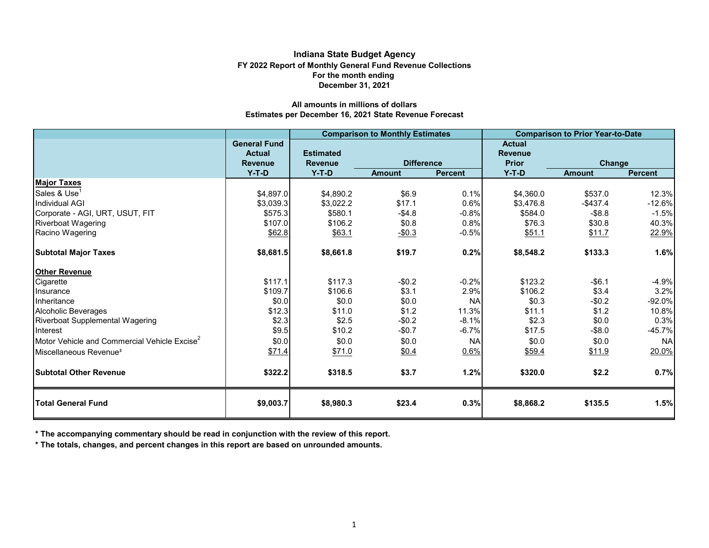# **Indiana State Budget Agency FY 2022 Report of Monthly General Fund Revenue Collections For the month ending December 31, 2021**

# **Estimates per December 16, 2021 State Revenue Forecast All amounts in millions of dollars**

|                                                          |                           |                           | <b>Comparison to Monthly Estimates</b> |                | <b>Comparison to Prior Year-to-Date</b> |                                                  |           |  |  |
|----------------------------------------------------------|---------------------------|---------------------------|----------------------------------------|----------------|-----------------------------------------|--------------------------------------------------|-----------|--|--|
|                                                          | <b>General Fund</b>       |                           |                                        |                | <b>Actual</b>                           |                                                  |           |  |  |
|                                                          | <b>Actual</b>             | <b>Estimated</b>          |                                        |                | <b>Revenue</b><br><b>Prior</b>          |                                                  |           |  |  |
|                                                          | <b>Revenue</b><br>$Y-T-D$ | <b>Revenue</b><br>$Y-T-D$ | <b>Difference</b><br><b>Amount</b>     | <b>Percent</b> | $Y-T-D$                                 | <b>Change</b><br><b>Percent</b><br><b>Amount</b> |           |  |  |
| <b>Major Taxes</b>                                       |                           |                           |                                        |                |                                         |                                                  |           |  |  |
| Sales & Use                                              | \$4,897.0                 | \$4,890.2                 | \$6.9                                  | 0.1%           | \$4,360.0                               | \$537.0                                          | 12.3%     |  |  |
| Individual AGI                                           | \$3,039.3                 | \$3,022.2                 | \$17.1                                 | 0.6%           | \$3,476.8                               | $-$437.4$                                        | $-12.6%$  |  |  |
| Corporate - AGI, URT, USUT, FIT                          | \$575.3                   | \$580.1                   | $-$4.8$                                | $-0.8%$        | \$584.0                                 | $-$8.8$                                          | $-1.5%$   |  |  |
| <b>Riverboat Wagering</b>                                | \$107.0                   | \$106.2                   | \$0.8                                  | 0.8%           | \$76.3                                  | \$30.8                                           | 40.3%     |  |  |
| Racino Wagering                                          | \$62.8                    | \$63.1                    | $-$0.3$                                | $-0.5%$        | \$51.1                                  | \$11.7                                           | 22.9%     |  |  |
|                                                          |                           |                           |                                        |                |                                         |                                                  |           |  |  |
| <b>Subtotal Major Taxes</b>                              | \$8,681.5                 | \$8,661.8                 | \$19.7                                 | 0.2%           | \$8,548.2                               | \$133.3                                          | 1.6%      |  |  |
| <b>Other Revenue</b>                                     |                           |                           |                                        |                |                                         |                                                  |           |  |  |
| Cigarette                                                | \$117.1                   | \$117.3                   | $-$0.2$                                | $-0.2%$        | \$123.2                                 | $-$6.1$                                          | $-4.9%$   |  |  |
| Ilnsurance                                               | \$109.7                   | \$106.6                   | \$3.1                                  | 2.9%           | \$106.2                                 | \$3.4                                            | 3.2%      |  |  |
| Inheritance                                              | \$0.0                     | \$0.0                     | \$0.0                                  | <b>NA</b>      | \$0.3                                   | $-$0.2$                                          | $-92.0%$  |  |  |
| Alcoholic Beverages                                      | \$12.3                    | \$11.0                    | \$1.2                                  | 11.3%          | \$11.1                                  | \$1.2                                            | 10.8%     |  |  |
| <b>Riverboat Supplemental Wagering</b>                   | \$2.3]                    | \$2.5                     | $-$0.2$                                | $-8.1%$        | \$2.3                                   | \$0.0                                            | 0.3%      |  |  |
| Interest                                                 | \$9.5                     | \$10.2                    | $-$0.7$                                | $-6.7%$        | \$17.5                                  | $-$8.0$                                          | $-45.7%$  |  |  |
| Motor Vehicle and Commercial Vehicle Excise <sup>2</sup> | \$0.0                     | \$0.0                     | \$0.0                                  | <b>NA</b>      | \$0.0                                   | \$0.0                                            | <b>NA</b> |  |  |
| Miscellaneous Revenue <sup>3</sup>                       | \$71.4                    | \$71.0                    | \$0.4                                  | 0.6%           | \$59.4                                  | \$11.9                                           | 20.0%     |  |  |
| <b>Subtotal Other Revenue</b>                            | \$322.2                   | \$318.5                   | \$3.7                                  | 1.2%           | \$320.0                                 | \$2.2                                            | 0.7%      |  |  |
| <b>Total General Fund</b>                                | \$9,003.7                 | \$8,980.3                 | \$23.4                                 | 0.3%           | \$8,868.2                               | \$135.5                                          | 1.5%      |  |  |

**\* The accompanying commentary should be read in conjunction with the review of this report.**

**\* The totals, changes, and percent changes in this report are based on unrounded amounts.**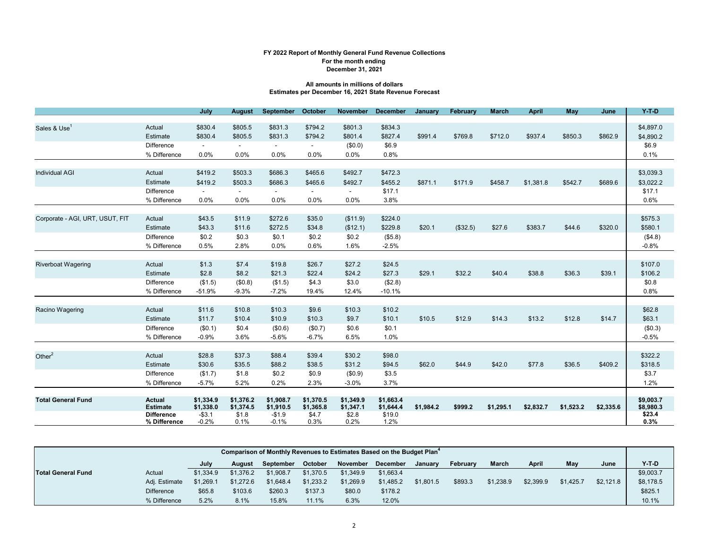### **FY 2022 Report of Monthly General Fund Revenue Collections For the month ending December 31, 2021**

## **All amounts in millions of dollars Estimates per December 16, 2021 State Revenue Forecast**

|                                 |                   | July           | <b>August</b>            | September      | October   | <b>November</b>          | <b>December</b> | January   | February | <b>March</b> | <b>April</b> | May       | June      | $Y-T-D$   |
|---------------------------------|-------------------|----------------|--------------------------|----------------|-----------|--------------------------|-----------------|-----------|----------|--------------|--------------|-----------|-----------|-----------|
|                                 |                   |                |                          |                |           |                          |                 |           |          |              |              |           |           |           |
| Sales & Use <sup>1</sup>        | Actual            | \$830.4        | \$805.5                  | \$831.3        | \$794.2   | \$801.3                  | \$834.3         |           |          |              |              |           |           | \$4,897.0 |
|                                 | Estimate          | \$830.4        | \$805.5                  | \$831.3        | \$794.2   | \$801.4                  | \$827.4         | \$991.4   | \$769.8  | \$712.0      | \$937.4      | \$850.3   | \$862.9   | \$4,890.2 |
|                                 | Difference        |                |                          |                |           | (\$0.0)                  | \$6.9           |           |          |              |              |           |           | \$6.9     |
|                                 | % Difference      | 0.0%           | 0.0%                     | 0.0%           | 0.0%      | 0.0%                     | 0.8%            |           |          |              |              |           |           | 0.1%      |
|                                 |                   |                |                          |                |           |                          |                 |           |          |              |              |           |           |           |
| <b>Individual AGI</b>           | Actual            | \$419.2        | \$503.3                  | \$686.3        | \$465.6   | \$492.7                  | \$472.3         |           |          |              |              |           |           | \$3,039.3 |
|                                 | Estimate          | \$419.2        | \$503.3                  | \$686.3        | \$465.6   | \$492.7                  | \$455.2         | \$871.1   | \$171.9  | \$458.7      | \$1,381.8    | \$542.7   | \$689.6   | \$3,022.2 |
|                                 | Difference        | $\blacksquare$ | $\overline{\phantom{a}}$ | $\blacksquare$ |           | $\overline{\phantom{a}}$ | \$17.1          |           |          |              |              |           |           | \$17.1    |
|                                 | % Difference      | 0.0%           | 0.0%                     | 0.0%           | $0.0\%$   | 0.0%                     | 3.8%            |           |          |              |              |           |           | 0.6%      |
|                                 |                   |                |                          |                |           |                          |                 |           |          |              |              |           |           |           |
| Corporate - AGI, URT, USUT, FIT | Actual            | \$43.5         | \$11.9                   | \$272.6        | \$35.0    | (\$11.9)                 | \$224.0         |           |          |              |              |           |           | \$575.3   |
|                                 | Estimate          | \$43.3         | \$11.6                   | \$272.5        | \$34.8    | (\$12.1)                 | \$229.8         | \$20.1    | (\$32.5) | \$27.6       | \$383.7      | \$44.6    | \$320.0   | \$580.1   |
|                                 | <b>Difference</b> | \$0.2          | \$0.3                    | \$0.1          | \$0.2     | \$0.2                    | (\$5.8)         |           |          |              |              |           |           | (\$4.8)   |
|                                 | % Difference      | 0.5%           | 2.8%                     | 0.0%           | 0.6%      | 1.6%                     | $-2.5%$         |           |          |              |              |           |           | $-0.8%$   |
|                                 |                   |                |                          |                |           |                          |                 |           |          |              |              |           |           |           |
| <b>Riverboat Wagering</b>       | Actual            | \$1.3          | \$7.4                    | \$19.8         | \$26.7    | \$27.2                   | \$24.5          |           |          |              |              |           |           | \$107.0   |
|                                 | Estimate          | \$2.8          | \$8.2                    | \$21.3         | \$22.4    | \$24.2                   | \$27.3          | \$29.1    | \$32.2   | \$40.4       | \$38.8       | \$36.3    | \$39.1    | \$106.2   |
|                                 | <b>Difference</b> | (\$1.5)        | (\$0.8)                  | (\$1.5)        | \$4.3     | \$3.0                    | (\$2.8)         |           |          |              |              |           |           | \$0.8     |
|                                 | % Difference      | $-51.9%$       | $-9.3%$                  | $-7.2%$        | 19.4%     | 12.4%                    | $-10.1%$        |           |          |              |              |           |           | 0.8%      |
|                                 |                   |                |                          |                |           |                          |                 |           |          |              |              |           |           |           |
| Racino Wagering                 | Actual            | \$11.6         | \$10.8                   | \$10.3         | \$9.6     | \$10.3                   | \$10.2          |           |          |              |              |           |           | \$62.8    |
|                                 | Estimate          | \$11.7         | \$10.4                   | \$10.9         | \$10.3    | \$9.7                    | \$10.1          | \$10.5    | \$12.9   | \$14.3       | \$13.2       | \$12.8    | \$14.7    | \$63.1    |
|                                 | <b>Difference</b> | (\$0.1)        | \$0.4                    | (\$0.6)        | (\$0.7)   | \$0.6                    | \$0.1           |           |          |              |              |           |           | (\$0.3)   |
|                                 | % Difference      | $-0.9%$        | 3.6%                     | $-5.6%$        | $-6.7%$   | 6.5%                     | 1.0%            |           |          |              |              |           |           | $-0.5%$   |
|                                 |                   |                |                          |                |           |                          |                 |           |          |              |              |           |           |           |
| Other $2$                       | Actual            | \$28.8         | \$37.3                   | \$88.4         | \$39.4    | \$30.2                   | \$98.0          |           |          |              |              |           |           | \$322.2   |
|                                 | Estimate          | \$30.6         | \$35.5                   | \$88.2         | \$38.5    | \$31.2                   | \$94.5          | \$62.0    | \$44.9   | \$42.0       | \$77.8       | \$36.5    | \$409.2   | \$318.5   |
|                                 | Difference        | (\$1.7)        | \$1.8                    | \$0.2          | \$0.9     | (\$0.9)                  | \$3.5           |           |          |              |              |           |           | \$3.7     |
|                                 | % Difference      | $-5.7%$        | 5.2%                     | 0.2%           | 2.3%      | $-3.0%$                  | 3.7%            |           |          |              |              |           |           | 1.2%      |
|                                 |                   |                |                          |                |           |                          |                 |           |          |              |              |           |           |           |
| <b>Total General Fund</b>       | <b>Actual</b>     | \$1,334.9      | \$1,376.2                | \$1,908.7      | \$1,370.5 | \$1,349.9                | \$1,663.4       |           |          |              |              |           |           | \$9,003.7 |
|                                 | <b>Estimate</b>   | \$1,338.0      | \$1,374.5                | \$1,910.5      | \$1,365.8 | \$1,347.1                | \$1,644.4       | \$1.984.2 | \$999.2  | \$1,295.1    | \$2,832.7    | \$1,523.2 | \$2,335.6 | \$8,980.3 |
|                                 | <b>Difference</b> | $- $3.1$       | \$1.8                    | $-$1.9$        | \$4.7     | \$2.8                    | \$19.0          |           |          |              |              |           |           | \$23.4    |
|                                 | % Difference      | $-0.2%$        | 0.1%                     | $-0.1%$        | 0.3%      | 0.2%                     | 1.2%            |           |          |              |              |           |           | 0.3%      |

|                           | Comparison of Monthly Revenues to Estimates Based on the Budget Plan <sup>4</sup> |           |           |           |                |           |           |           |          |              |           |           |           |           |
|---------------------------|-----------------------------------------------------------------------------------|-----------|-----------|-----------|----------------|-----------|-----------|-----------|----------|--------------|-----------|-----------|-----------|-----------|
|                           |                                                                                   | Julv      | August    | September | <b>October</b> | November  | December  | January   | February | <b>March</b> | April     | May       | June      | $Y-T-D$   |
| <b>Total General Fund</b> | Actual                                                                            | \$1.334.9 | \$1,376.2 | \$1,908.7 | \$1,370.5      | \$1.349.9 | \$1.663.4 |           |          |              |           |           |           | \$9,003.7 |
|                           | Adj. Estimate                                                                     | \$1.269.1 | \$1,272.6 | \$1,648.4 | \$1,233.2      | \$1,269.9 | \$1,485.2 | \$1,801.5 | \$893.3  | \$1,238.9    | \$2,399.9 | \$1,425.7 | \$2,121.8 | \$8,178.5 |
|                           | <b>Difference</b>                                                                 | \$65.8    | \$103.6   | \$260.3   | \$137.3        | \$80.0    | \$178.2   |           |          |              |           |           |           | \$825.1   |
|                           | % Difference                                                                      | 5.2%      | 8.1%      | 15.8%     | 11.1%          | 6.3%      | 12.0%     |           |          |              |           |           |           | 10.1%     |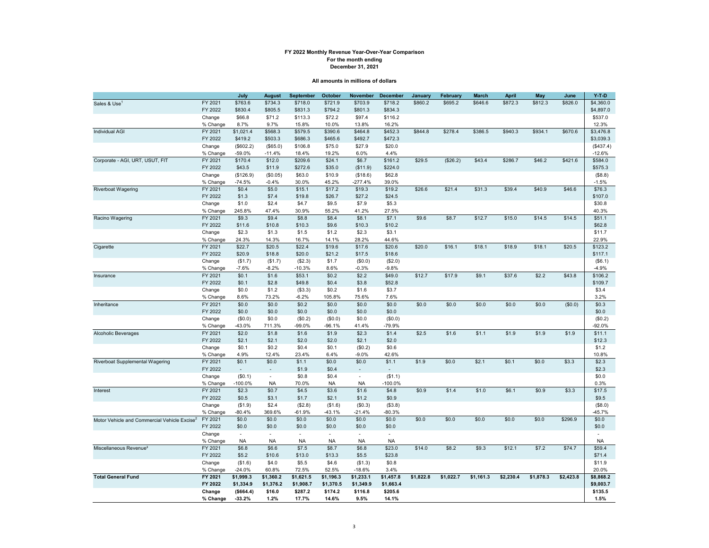#### **FY 2022 Monthly Revenue Year-Over-Year Comparison For the month ending December 31, 2021**

#### **All amounts in millions of dollars**

|                                                          |                     | July                     | <b>August</b>            | September         | October                  | November                 | December                 | January   | February  | March     | <b>April</b> | May       | June      | Y-T-D             |
|----------------------------------------------------------|---------------------|--------------------------|--------------------------|-------------------|--------------------------|--------------------------|--------------------------|-----------|-----------|-----------|--------------|-----------|-----------|-------------------|
| Sales & Use <sup>1</sup>                                 | FY 2021             | \$763.6                  | \$734.3                  | \$718.0           | \$721.9                  | \$703.9                  | \$718.2                  | \$860.2   | \$695.2   | \$646.6   | \$872.3      | \$812.3   | \$826.0   | \$4,360.0         |
|                                                          | FY 2022             | \$830.4                  | \$805.5                  | \$831.3           | \$794.2                  | \$801.3                  | \$834.3                  |           |           |           |              |           |           | \$4,897.0         |
|                                                          | Change              | \$66.8                   | \$71.2                   | \$113.3           | \$72.2                   | \$97.4                   | \$116.2                  |           |           |           |              |           |           | \$537.0           |
|                                                          | % Change            | 8.7%                     | 9.7%                     | 15.8%             | 10.0%                    | 13.8%                    | 16.2%                    |           |           |           |              |           |           | 12.3%             |
| <b>Individual AGI</b>                                    | FY 2021             | \$1,021.4                | \$568.3                  | \$579.5           | \$390.6                  | \$464.8                  | \$452.3                  | \$844.8   | \$278.4   | \$386.5   | \$940.3      | \$934.1   | \$670.6   | \$3,476.8         |
|                                                          | FY 2022             | \$419.2                  | \$503.3                  | \$686.3           | \$465.6                  | \$492.7                  | \$472.3                  |           |           |           |              |           |           | \$3,039.3         |
|                                                          | Change              | (\$602.2)                | (\$65.0)                 | \$106.8           | \$75.0                   | \$27.9                   | \$20.0                   |           |           |           |              |           |           | (\$437.4)         |
|                                                          | % Change            | $-59.0%$                 | $-11.4%$                 | 18.4%             | 19.2%                    | 6.0%                     | 4.4%                     |           |           |           |              |           |           | $-12.6%$          |
| Corporate - AGI, URT, USUT, FIT                          | FY 2021             | \$170.4                  | \$12.0                   | \$209.6           | \$24.1                   | \$6.7                    | \$161.2                  | \$29.5    | (\$26.2)  | \$43.4    | \$286.7      | \$46.2    | \$421.6   | \$584.0           |
|                                                          | FY 2022             | \$43.5                   | \$11.9                   | \$272.6           | \$35.0                   | (\$11.9)                 | \$224.0                  |           |           |           |              |           |           | \$575.3           |
|                                                          | Change              | (\$126.9)                | (\$0.05)                 | \$63.0            | \$10.9                   | (\$18.6)                 | \$62.8                   |           |           |           |              |           |           | (\$8.8)           |
|                                                          | % Change            | $-74.5%$                 | $-0.4%$                  | 30.0%             | 45.2%                    | $-277.4%$                | 39.0%                    |           |           |           |              |           |           | $-1.5%$           |
| <b>Riverboat Wagering</b>                                | FY 2021             | \$0.4                    | \$5.0                    | \$15.1            | \$17.2                   | \$19.3                   | \$19.2                   | \$26.6    | \$21.4    | \$31.3    | \$39.4       | \$40.9    | \$46.6    | \$76.3            |
|                                                          | FY 2022             | \$1.3                    | \$7.4                    | \$19.8            | \$26.7                   | \$27.2                   | \$24.5                   |           |           |           |              |           |           | \$107.0           |
|                                                          | Change              | \$1.0                    | \$2.4                    | \$4.7             | \$9.5                    | \$7.9                    | \$5.3                    |           |           |           |              |           |           | \$30.8            |
|                                                          | % Change            | 245.8%                   | 47.4%                    | 30.9%             | 55.2%                    | 41.2%                    | 27.5%                    |           |           |           |              |           |           | 40.3%             |
| Racino Wagering                                          | FY 2021             | \$9.3                    | \$9.4                    | \$8.8             | \$8.4                    | \$8.1                    | \$7.1                    | \$9.6     | \$8.7     | \$12.7    | \$15.0       | \$14.5    | \$14.5    | \$51.1            |
|                                                          | FY 2022             | \$11.6                   | \$10.8                   | \$10.3            | \$9.6                    | \$10.3                   | \$10.2                   |           |           |           |              |           |           | \$62.8            |
|                                                          | Change              | \$2.3                    | \$1.3                    | \$1.5             | \$1.2                    | \$2.3                    | \$3.1                    |           |           |           |              |           |           | \$11.7            |
|                                                          | % Change            | 24.3%                    | 14.3%                    | 16.7%             | 14.1%                    | 28.2%                    | 44.6%                    |           |           |           |              |           |           | 22.9%             |
| Cigarette                                                | FY 2021             | \$22.7                   | \$20.5                   | \$22.4            | \$19.6                   | \$17.6                   | \$20.6                   | \$20.0    | \$16.1    | \$18.1    | \$18.9       | \$18.1    | \$20.5    | \$123.2           |
|                                                          | FY 2022             | \$20.9                   | \$18.8                   | \$20.0            | \$21.2                   | \$17.5                   | \$18.6                   |           |           |           |              |           |           | \$117.1           |
|                                                          | Change              | (\$1.7)                  | (\$1.7)                  | (\$2.3)           | \$1.7                    | (\$0.0)                  | (\$2.0)                  |           |           |           |              |           |           | (\$6.1)           |
|                                                          | % Change            | $-7.6%$                  | $-8.2%$                  | $-10.3%$          | 8.6%                     | $-0.3%$                  | $-9.8%$                  |           |           |           |              |           |           | $-4.9%$           |
| Insurance                                                | FY 2021             | \$0.1                    | \$1.6                    | \$53.1            | \$0.2                    | \$2.2                    | \$49.0                   | \$12.7    | \$17.9    | \$9.1     | \$37.6       | \$2.2     | \$43.8    | \$106.2           |
|                                                          | FY 2022             | \$0.1                    | \$2.8                    | \$49.8            | \$0.4                    | \$3.8                    | \$52.8                   |           |           |           |              |           |           | \$109.7           |
|                                                          | Change              | \$0.0                    | \$1.2                    | (\$3.3)           | \$0.2                    | \$1.6                    | \$3.7                    |           |           |           |              |           |           | \$3.4             |
|                                                          | % Change            | 8.6%                     | 73.2%                    | $-6.2%$           | 105.8%                   | 75.6%                    | 7.6%                     |           |           |           |              |           |           | 3.2%              |
| Inheritance                                              | FY 2021             | \$0.0                    | \$0.0                    | \$0.2             | \$0.0                    | \$0.0                    | \$0.0                    | \$0.0     | \$0.0     | \$0.0     | \$0.0        | \$0.0     | (\$0.0)   | \$0.3             |
|                                                          | FY 2022             | \$0.0                    | \$0.0                    | \$0.0             | \$0.0                    | \$0.0                    | \$0.0                    |           |           |           |              |           |           | \$0.0             |
|                                                          | Change              | (S0.0)                   | \$0.0                    | (\$0.2)           | (\$0.0)                  | \$0.0                    | (\$0.0)                  |           |           |           |              |           |           | (\$0.2)           |
|                                                          | % Change            | $-43.0%$                 | 711.3%                   | $-99.0%$          | $-96.1%$                 | 41.4%                    | $-79.9%$                 |           |           |           |              |           |           | $-92.0%$          |
| <b>Alcoholic Beverages</b>                               | FY 2021             | \$2.0                    | \$1.8                    | \$1.6             | \$1.9                    | \$2.3                    | \$1.4                    | \$2.5     | \$1.6     | \$1.1     | \$1.9        | \$1.9     | \$1.9     | \$11.1            |
|                                                          | FY 2022             | \$2.1                    | \$2.1                    | \$2.0             | \$2.0                    | \$2.1                    | \$2.0                    |           |           |           |              |           |           | \$12.3            |
|                                                          | Change              | \$0.1                    | \$0.2                    | \$0.4             | \$0.1                    | (\$0.2)                  | \$0.6                    |           |           |           |              |           |           | \$1.2             |
|                                                          | % Change            | 4.9%                     | 12.4%                    | 23.4%             | 6.4%                     | $-9.0%$                  | 42.6%                    |           |           |           |              |           |           | 10.8%             |
| Riverboat Supplemental Wagering                          | FY 2021             | \$0.1                    | \$0.0                    | \$1.1             | \$0.0                    | \$0.0                    | \$1.1                    | \$1.9     | \$0.0     | \$2.1     | \$0.1        | \$0.0     | \$3.3     | \$2.3             |
|                                                          | FY 2022             | $\overline{\phantom{a}}$ |                          | \$1.9             | \$0.4                    | $\overline{\phantom{a}}$ |                          |           |           |           |              |           |           | \$2.3             |
|                                                          | Change              | (S0.1)                   | $\sim$                   | \$0.8             | \$0.4                    | $\sim$                   | (\$1.1)                  |           |           |           |              |           |           | \$0.0             |
|                                                          | % Change            | $-100.0%$                | <b>NA</b>                | 70.0%             | <b>NA</b>                | <b>NA</b>                | $-100.0%$                |           |           |           |              |           |           | 0.3%              |
| Interest                                                 | FY 2021             | \$2.3                    | \$0.7                    | \$4.5             | \$3.6                    | \$1.6                    | \$4.8                    | \$0.9     | \$1.4     | \$1.0     | \$6.1        | \$0.9     | \$3.3     | \$17.5            |
|                                                          | FY 2022             | \$0.5                    | \$3.1                    | \$1.7             | \$2.1                    | \$1.2                    | \$0.9                    |           |           |           |              |           |           | \$9.5             |
|                                                          | Change              | (\$1.9)                  | \$2.4                    | (\$2.8)           | (\$1.6)                  | (\$0.3)                  | (\$3.8)                  |           |           |           |              |           |           | (\$8.0)           |
|                                                          | % Change            | $-80.4%$<br>\$0.0        | 369.6%<br>\$0.0          | $-61.9%$<br>\$0.0 | $-43.1%$<br>\$0.0        | $-21.4%$<br>\$0.0        | $-80.3%$<br>\$0.0        | \$0.0     | \$0.0     | \$0.0     | \$0.0        | \$0.0     | \$296.9   | $-45.7%$<br>\$0.0 |
| Motor Vehicle and Commercial Vehicle Excise <sup>2</sup> | FY 2021<br>FY 2022  | \$0.0                    | \$0.0                    | \$0.0             | \$0.0                    | \$0.0                    | \$0.0                    |           |           |           |              |           |           | \$0.0             |
|                                                          |                     | $\sim$                   | $\overline{\phantom{a}}$ | $\sim$            | $\overline{\phantom{a}}$ | $\blacksquare$           | $\overline{\phantom{a}}$ |           |           |           |              |           |           | $\sim$            |
|                                                          | Change              | <b>NA</b>                | <b>NA</b>                | <b>NA</b>         | <b>NA</b>                | <b>NA</b>                | <b>NA</b>                |           |           |           |              |           |           | <b>NA</b>         |
| Miscellaneous Revenue <sup>3</sup>                       | % Change<br>FY 2021 | \$6.8                    | \$6.6                    | \$7.5             | \$8.7                    | \$6.8                    | \$23.0                   | \$14.0    | \$8.2     | \$9.3     | \$12.1       | \$7.2     | \$74.7    | \$59.4            |
|                                                          | FY 2022             | \$5.2                    | \$10.6                   | \$13.0            | \$13.3                   | \$5.5                    | \$23.8                   |           |           |           |              |           |           | \$71.4            |
|                                                          | Change              | (\$1.6)                  | \$4.0                    | \$5.5             | \$4.6                    | (\$1.3)                  | \$0.8                    |           |           |           |              |           |           | \$11.9            |
|                                                          | % Change            | $-24.0%$                 | 60.8%                    | 72.5%             | 52.5%                    | $-18.6%$                 | 3.4%                     |           |           |           |              |           |           | 20.0%             |
| <b>Total General Fund</b>                                | FY 2021             | \$1,999.3                | \$1,360.2                | \$1,621.5         | \$1,196.3                | \$1,233.1                | \$1,457.8                | \$1,822.8 | \$1,022.7 | \$1,161.3 | \$2,230.4    | \$1,878.3 | \$2,423.8 | \$8,868.2         |
|                                                          | FY 2022             | \$1,334.9                | \$1,376.2                | \$1,908.7         | \$1,370.5                | \$1,349.9                | \$1,663.4                |           |           |           |              |           |           | \$9,003.7         |
|                                                          | Change              | (\$664.4)                | \$16.0                   | \$287.2           | \$174.2                  | \$116.8                  | \$205.6                  |           |           |           |              |           |           | \$135.5           |
|                                                          | % Change            | $-33.2%$                 | 1.2%                     | 17.7%             | 14.6%                    | 9.5%                     | 14.1%                    |           |           |           |              |           |           | 1.5%              |
|                                                          |                     |                          |                          |                   |                          |                          |                          |           |           |           |              |           |           |                   |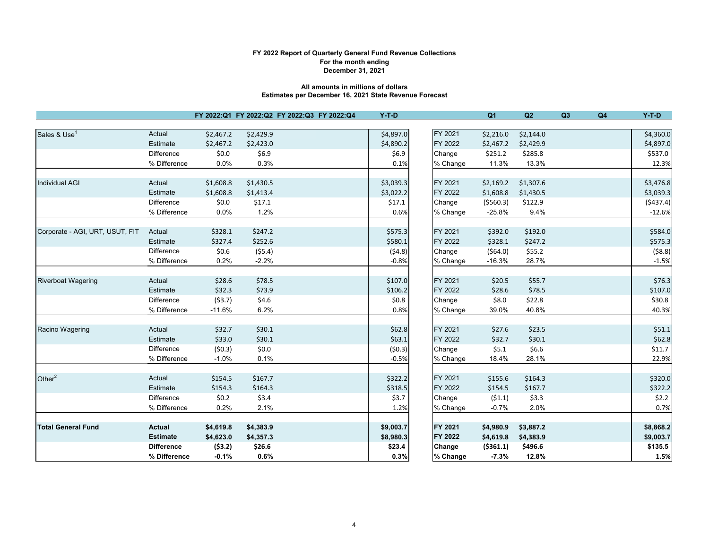## **FY 2022 Report of Quarterly General Fund Revenue Collections For the month ending December 31, 2021**

## **All amounts in millions of dollars Estimates per December 16, 2021 State Revenue Forecast**

|                                 |                   |           |           | FY 2022:Q1 FY 2022:Q2 FY 2022:Q3 FY 2022:Q4 | $Y-T-D$   |          | Q <sub>1</sub> | Q2        | Q3 | Q4 | $Y-T-D$    |
|---------------------------------|-------------------|-----------|-----------|---------------------------------------------|-----------|----------|----------------|-----------|----|----|------------|
| Sales & Use <sup>1</sup>        | Actual            | \$2,467.2 | \$2,429.9 |                                             | \$4,897.0 | FY 2021  | \$2,216.0      | \$2,144.0 |    |    | \$4,360.0  |
|                                 | Estimate          | \$2,467.2 | \$2,423.0 |                                             | \$4,890.2 | FY 2022  | \$2,467.2      | \$2,429.9 |    |    | \$4,897.0  |
|                                 | Difference        | \$0.0\$   | \$6.9     |                                             | \$6.9     | Change   | \$251.2        | \$285.8   |    |    | \$537.0    |
|                                 | % Difference      | 0.0%      | 0.3%      |                                             | 0.1%      | % Change | 11.3%          | 13.3%     |    |    | 12.3%      |
| <b>Individual AGI</b>           | Actual            | \$1,608.8 | \$1,430.5 |                                             | \$3,039.3 | FY 2021  | \$2,169.2      | \$1,307.6 |    |    | \$3,476.8  |
|                                 | Estimate          | \$1,608.8 | \$1,413.4 |                                             | \$3,022.2 | FY 2022  | \$1,608.8      | \$1,430.5 |    |    | \$3,039.3  |
|                                 | Difference        | \$0.0\$   | \$17.1    |                                             | \$17.1    | Change   | ( \$560.3)     | \$122.9   |    |    | ( \$437.4) |
|                                 | % Difference      | 0.0%      | 1.2%      |                                             | 0.6%      | % Change | $-25.8%$       | 9.4%      |    |    | $-12.6%$   |
|                                 |                   |           |           |                                             |           |          |                |           |    |    |            |
| Corporate - AGI, URT, USUT, FIT | Actual            | \$328.1   | \$247.2   |                                             | \$575.3   | FY 2021  | \$392.0        | \$192.0   |    |    | \$584.0    |
|                                 | Estimate          | \$327.4   | \$252.6   |                                             | \$580.1   | FY 2022  | \$328.1        | \$247.2   |    |    | \$575.3    |
|                                 | <b>Difference</b> | \$0.6     | (55.4)    |                                             | (54.8)    | Change   | (564.0)        | \$55.2    |    |    | ( \$8.8)   |
|                                 | % Difference      | 0.2%      | $-2.2%$   |                                             | $-0.8%$   | % Change | $-16.3%$       | 28.7%     |    |    | $-1.5%$    |
| <b>Riverboat Wagering</b>       | Actual            | \$28.6    | \$78.5    |                                             | \$107.0   | FY 2021  | \$20.5         | \$55.7    |    |    | \$76.3     |
|                                 | Estimate          | \$32.3    | \$73.9    |                                             | \$106.2   | FY 2022  | \$28.6         | \$78.5    |    |    | \$107.0    |
|                                 | Difference        | (53.7)    | \$4.6     |                                             | \$0.8\$   | Change   | \$8.0          | \$22.8    |    |    | \$30.8     |
|                                 | % Difference      | $-11.6%$  | 6.2%      |                                             | 0.8%      | % Change | 39.0%          | 40.8%     |    |    | 40.3%      |
|                                 |                   |           |           |                                             |           |          |                |           |    |    |            |
| Racino Wagering                 | Actual            | \$32.7    | \$30.1    |                                             | \$62.8    | FY 2021  | \$27.6         | \$23.5    |    |    | \$51.1     |
|                                 | Estimate          | \$33.0    | \$30.1    |                                             | \$63.1    | FY 2022  | \$32.7         | \$30.1    |    |    | \$62.8     |
|                                 | Difference        | (50.3)    | \$0.0\$   |                                             | (50.3)    | Change   | \$5.1          | \$6.6     |    |    | \$11.7     |
|                                 | % Difference      | $-1.0%$   | 0.1%      |                                             | $-0.5%$   | % Change | 18.4%          | 28.1%     |    |    | 22.9%      |
| Other $2$                       | Actual            | \$154.5   | \$167.7   |                                             | \$322.2   | FY 2021  | \$155.6        | \$164.3   |    |    | \$320.0    |
|                                 | Estimate          | \$154.3   | \$164.3   |                                             | \$318.5   | FY 2022  | \$154.5        | \$167.7   |    |    | \$322.2    |
|                                 | Difference        | \$0.2\$   | \$3.4     |                                             | \$3.7     | Change   | (51.1)         | \$3.3     |    |    | \$2.2\$    |
|                                 | % Difference      | 0.2%      | 2.1%      |                                             | 1.2%      | % Change | $-0.7%$        | 2.0%      |    |    | 0.7%       |
|                                 |                   |           |           |                                             |           |          |                |           |    |    |            |
| <b>Total General Fund</b>       | <b>Actual</b>     | \$4,619.8 | \$4,383.9 |                                             | \$9,003.7 | FY 2021  | \$4,980.9      | \$3,887.2 |    |    | \$8,868.2  |
|                                 | <b>Estimate</b>   | \$4,623.0 | \$4,357.3 |                                             | \$8,980.3 | FY 2022  | \$4,619.8      | \$4,383.9 |    |    | \$9,003.7  |
|                                 | <b>Difference</b> | (53.2)    | \$26.6    |                                             | \$23.4    | Change   | ( \$361.1)     | \$496.6   |    |    | \$135.5    |
|                                 | % Difference      | $-0.1%$   | 0.6%      |                                             | 0.3%      | % Change | $-7.3%$        | 12.8%     |    |    | 1.5%       |